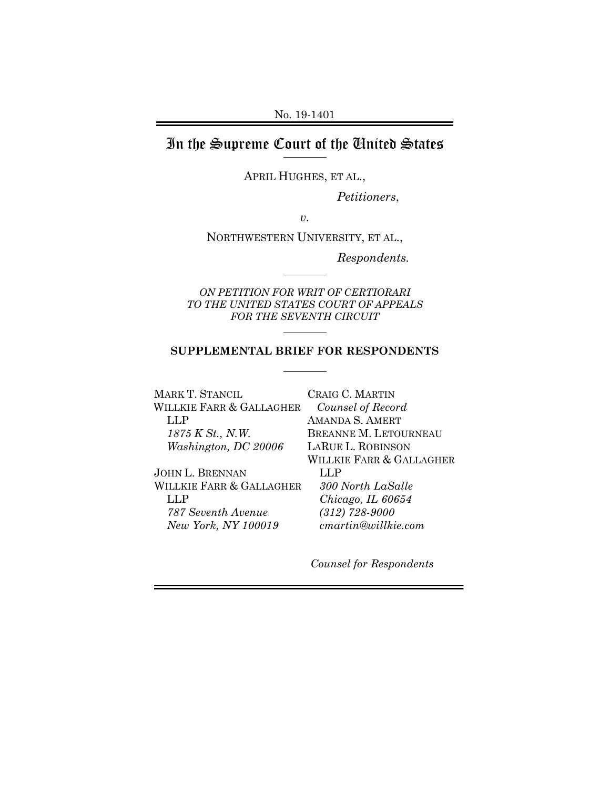No. 19-1401

## In the Supreme Court of the United States

APRIL HUGHES, ET AL.,

*Petitioners*,

*v.*

NORTHWESTERN UNIVERSITY, ET AL.,

*Respondents.*

*ON PETITION FOR WRIT OF CERTIORARI TO THE UNITED STATES COURT OF APPEALS FOR THE SEVENTH CIRCUIT*

### **SUPPLEMENTAL BRIEF FOR RESPONDENTS**

MARK T. STANCIL WILLKIE FARR & GALLAGHER LLP *1875 K St., N.W. Washington, DC 20006*

JOHN L. BRENNAN WILLKIE FARR & GALLAGHER LLP *787 Seventh Avenue New York, NY 100019*

CRAIG C. MARTIN *Counsel of Record* AMANDA S. AMERT BREANNE M. LETOURNEAU LARUE L. ROBINSON WILLKIE FARR & GALLAGHER LLP *300 North LaSalle Chicago, IL 60654 (312) 728-9000 cmartin@willkie.com*

*Counsel for Respondents*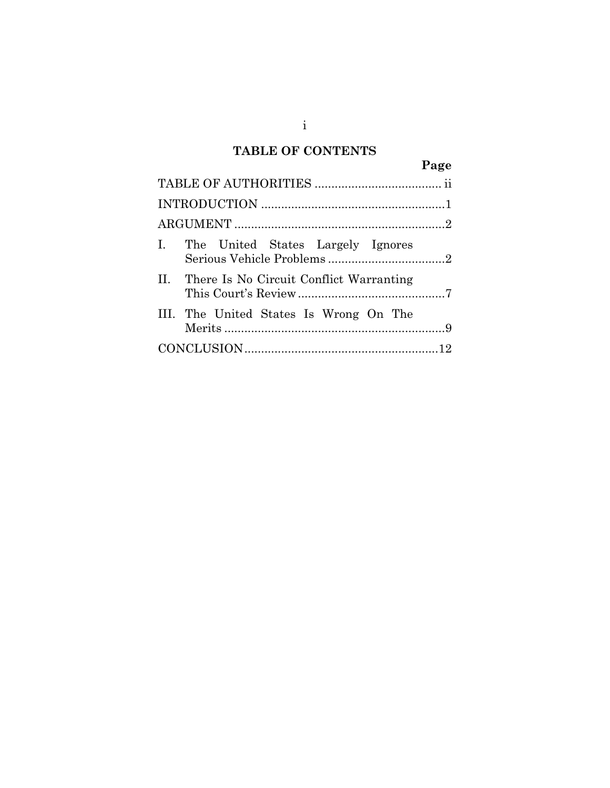## **TABLE OF CONTENTS**

|  |                                             | Page |  |  |
|--|---------------------------------------------|------|--|--|
|  |                                             |      |  |  |
|  |                                             |      |  |  |
|  |                                             |      |  |  |
|  | I. The United States Largely Ignores        |      |  |  |
|  | II. There Is No Circuit Conflict Warranting |      |  |  |
|  | III. The United States Is Wrong On The      |      |  |  |
|  |                                             |      |  |  |

i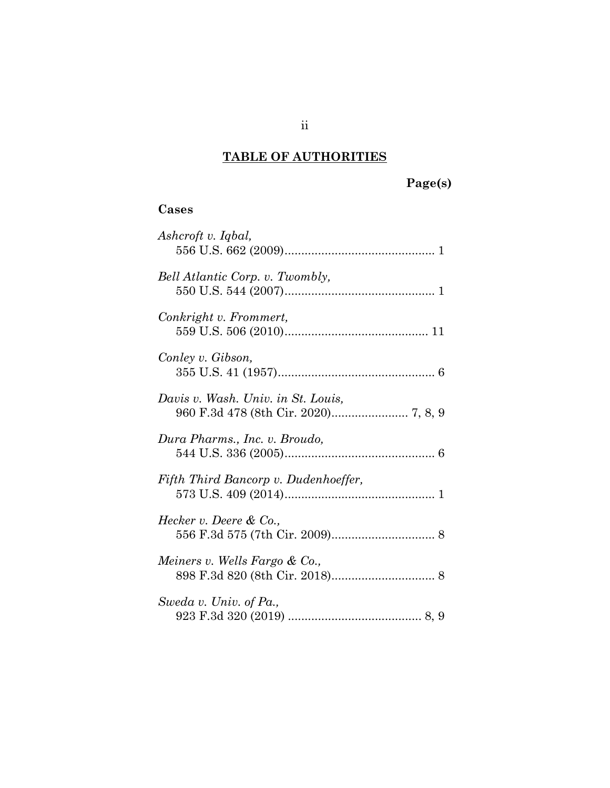# **TABLE OF AUTHORITIES**

# **Page(s)**

## **Cases**

| Ashcroft v. Iqbal,                   |
|--------------------------------------|
| Bell Atlantic Corp. v. Twombly,      |
| Conkright v. Frommert,               |
| Conley v. Gibson,                    |
| Davis v. Wash. Univ. in St. Louis,   |
| Dura Pharms., Inc. v. Broudo,        |
| Fifth Third Bancorp v. Dudenhoeffer, |
| Hecker v. Deere & Co.,               |
| Meiners v. Wells Fargo & Co.,        |
| Sweda v. Univ. of Pa.,               |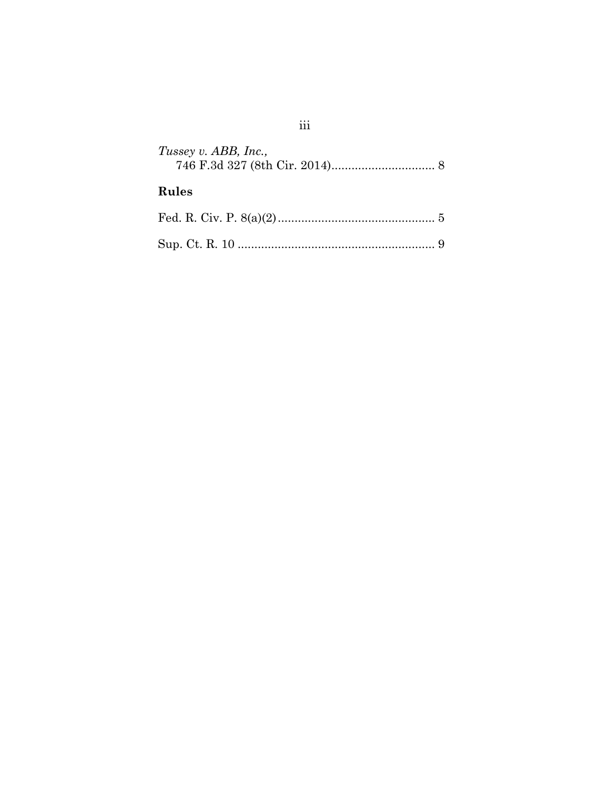| Tussey v. ABB, Inc., |  |
|----------------------|--|
| Rules                |  |
|                      |  |
|                      |  |

# $\,$ iii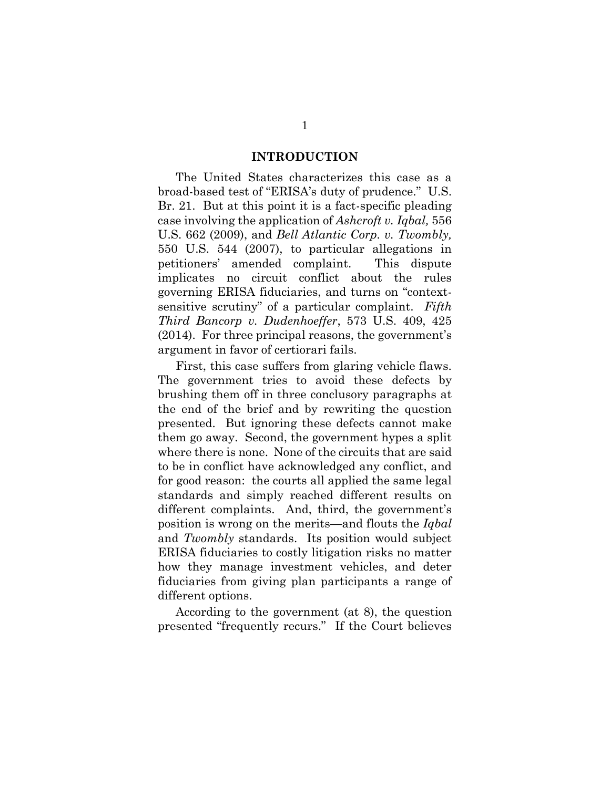#### <span id="page-4-2"></span><span id="page-4-1"></span><span id="page-4-0"></span>**INTRODUCTION**

The United States characterizes this case as a broad-based test of "ERISA's duty of prudence." U.S. Br. 21. But at this point it is a fact-specific pleading case involving the application of *Ashcroft v. Iqbal,* 556 U.S. 662 (2009), and *Bell Atlantic Corp. v. Twombly,*  550 U.S. 544 (2007), to particular allegations in petitioners' amended complaint. This dispute implicates no circuit conflict about the rules governing ERISA fiduciaries, and turns on "contextsensitive scrutiny" of a particular complaint. *Fifth Third Bancorp v. Dudenhoeffer*, 573 U.S. 409, 425 (2014). For three principal reasons, the government's argument in favor of certiorari fails.

First, this case suffers from glaring vehicle flaws. The government tries to avoid these defects by brushing them off in three conclusory paragraphs at the end of the brief and by rewriting the question presented. But ignoring these defects cannot make them go away. Second, the government hypes a split where there is none. None of the circuits that are said to be in conflict have acknowledged any conflict, and for good reason: the courts all applied the same legal standards and simply reached different results on different complaints. And, third, the government's position is wrong on the merits—and flouts the *Iqbal*  and *Twombly* standards. Its position would subject ERISA fiduciaries to costly litigation risks no matter how they manage investment vehicles, and deter fiduciaries from giving plan participants a range of different options.

According to the government (at 8), the question presented "frequently recurs." If the Court believes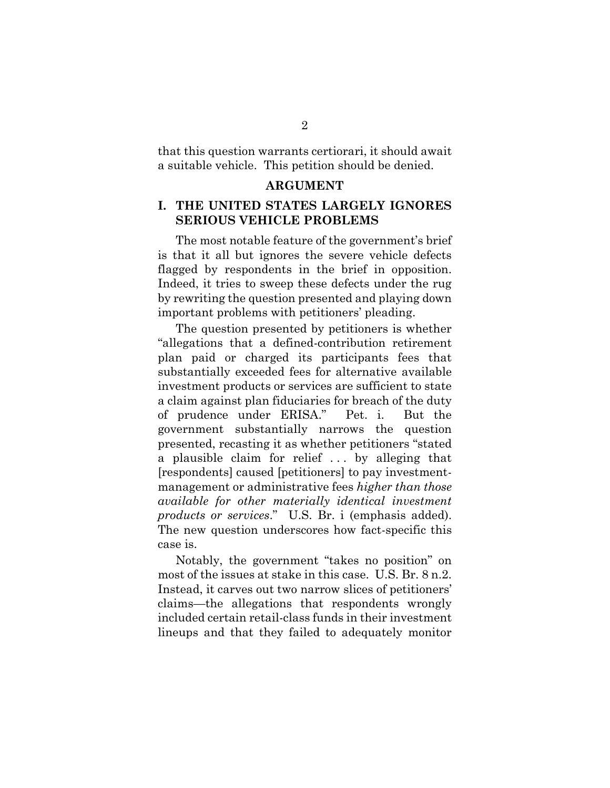that this question warrants certiorari, it should await a suitable vehicle. This petition should be denied.

#### **ARGUMENT**

## **I. THE UNITED STATES LARGELY IGNORES SERIOUS VEHICLE PROBLEMS**

The most notable feature of the government's brief is that it all but ignores the severe vehicle defects flagged by respondents in the brief in opposition. Indeed, it tries to sweep these defects under the rug by rewriting the question presented and playing down important problems with petitioners' pleading.

The question presented by petitioners is whether "allegations that a defined-contribution retirement plan paid or charged its participants fees that substantially exceeded fees for alternative available investment products or services are sufficient to state a claim against plan fiduciaries for breach of the duty of prudence under ERISA." Pet. i. But the government substantially narrows the question presented, recasting it as whether petitioners "stated a plausible claim for relief . . . by alleging that [respondents] caused [petitioners] to pay investmentmanagement or administrative fees *higher than those available for other materially identical investment products or services*." U.S. Br. i (emphasis added). The new question underscores how fact-specific this case is.

Notably, the government "takes no position" on most of the issues at stake in this case. U.S. Br. 8 n.2. Instead, it carves out two narrow slices of petitioners' claims—the allegations that respondents wrongly included certain retail-class funds in their investment lineups and that they failed to adequately monitor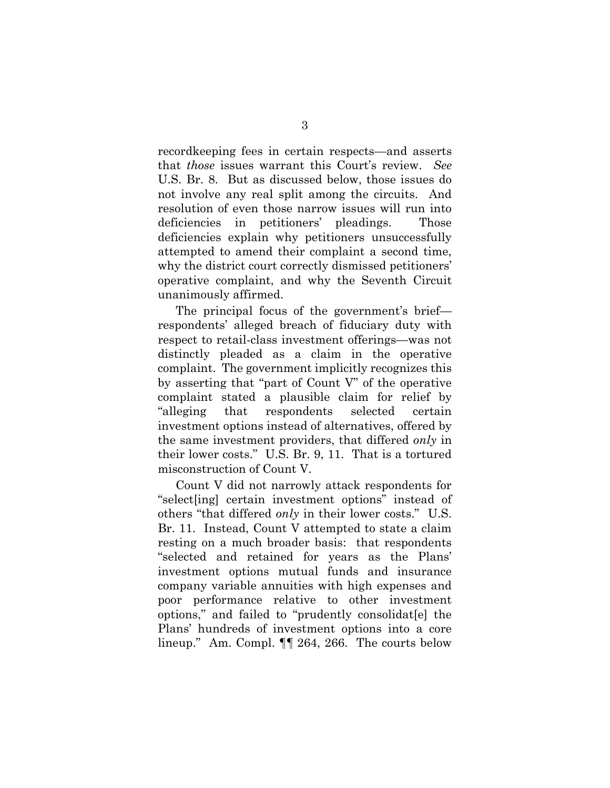recordkeeping fees in certain respects—and asserts that *those* issues warrant this Court's review. *See*  U.S. Br. 8. But as discussed below, those issues do not involve any real split among the circuits. And resolution of even those narrow issues will run into deficiencies in petitioners' pleadings. Those deficiencies explain why petitioners unsuccessfully attempted to amend their complaint a second time, why the district court correctly dismissed petitioners' operative complaint, and why the Seventh Circuit unanimously affirmed.

The principal focus of the government's brief respondents' alleged breach of fiduciary duty with respect to retail-class investment offerings—was not distinctly pleaded as a claim in the operative complaint. The government implicitly recognizes this by asserting that "part of Count V" of the operative complaint stated a plausible claim for relief by "alleging that respondents selected certain investment options instead of alternatives, offered by the same investment providers, that differed *only* in their lower costs." U.S. Br. 9, 11. That is a tortured misconstruction of Count V.

Count V did not narrowly attack respondents for "select[ing] certain investment options" instead of others "that differed *only* in their lower costs." U.S. Br. 11. Instead, Count V attempted to state a claim resting on a much broader basis: that respondents "selected and retained for years as the Plans' investment options mutual funds and insurance company variable annuities with high expenses and poor performance relative to other investment options," and failed to "prudently consolidat[e] the Plans' hundreds of investment options into a core lineup." Am. Compl. ¶¶ 264, 266. The courts below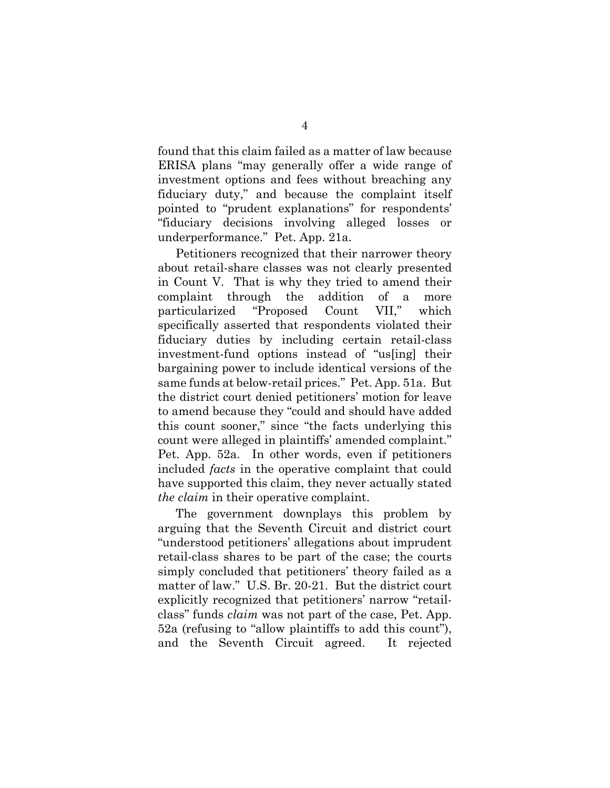found that this claim failed as a matter of law because ERISA plans "may generally offer a wide range of investment options and fees without breaching any fiduciary duty," and because the complaint itself pointed to "prudent explanations" for respondents' "fiduciary decisions involving alleged losses or underperformance." Pet. App. 21a.

Petitioners recognized that their narrower theory about retail-share classes was not clearly presented in Count V. That is why they tried to amend their complaint through the addition of a more particularized "Proposed Count VII," which specifically asserted that respondents violated their fiduciary duties by including certain retail-class investment-fund options instead of "us[ing] their bargaining power to include identical versions of the same funds at below-retail prices." Pet. App. 51a. But the district court denied petitioners' motion for leave to amend because they "could and should have added this count sooner," since "the facts underlying this count were alleged in plaintiffs' amended complaint." Pet. App. 52a. In other words, even if petitioners included *facts* in the operative complaint that could have supported this claim, they never actually stated *the claim* in their operative complaint.

The government downplays this problem by arguing that the Seventh Circuit and district court "understood petitioners' allegations about imprudent retail-class shares to be part of the case; the courts simply concluded that petitioners' theory failed as a matter of law." U.S. Br. 20-21. But the district court explicitly recognized that petitioners' narrow "retailclass" funds *claim* was not part of the case, Pet. App. 52a (refusing to "allow plaintiffs to add this count"), and the Seventh Circuit agreed. It rejected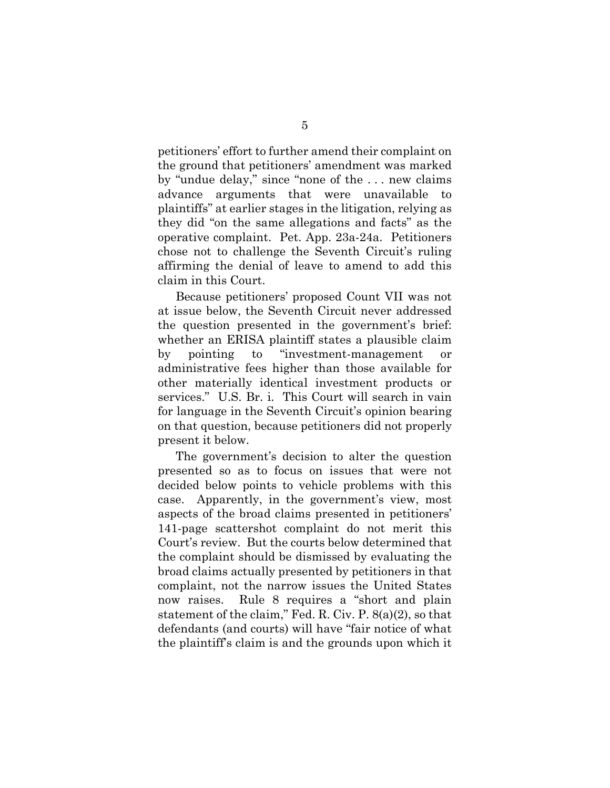petitioners' effort to further amend their complaint on the ground that petitioners' amendment was marked by "undue delay," since "none of the . . . new claims advance arguments that were unavailable to plaintiffs" at earlier stages in the litigation, relying as they did "on the same allegations and facts" as the operative complaint. Pet. App. 23a-24a. Petitioners chose not to challenge the Seventh Circuit's ruling affirming the denial of leave to amend to add this claim in this Court.

Because petitioners' proposed Count VII was not at issue below, the Seventh Circuit never addressed the question presented in the government's brief: whether an ERISA plaintiff states a plausible claim by pointing to "investment-management or administrative fees higher than those available for other materially identical investment products or services." U.S. Br. i. This Court will search in vain for language in the Seventh Circuit's opinion bearing on that question, because petitioners did not properly present it below.

<span id="page-8-0"></span>The government's decision to alter the question presented so as to focus on issues that were not decided below points to vehicle problems with this case. Apparently, in the government's view, most aspects of the broad claims presented in petitioners' 141-page scattershot complaint do not merit this Court's review. But the courts below determined that the complaint should be dismissed by evaluating the broad claims actually presented by petitioners in that complaint, not the narrow issues the United States now raises. Rule 8 requires a "short and plain statement of the claim," Fed. R. Civ. P. 8(a)(2), so that defendants (and courts) will have "fair notice of what the plaintiff's claim is and the grounds upon which it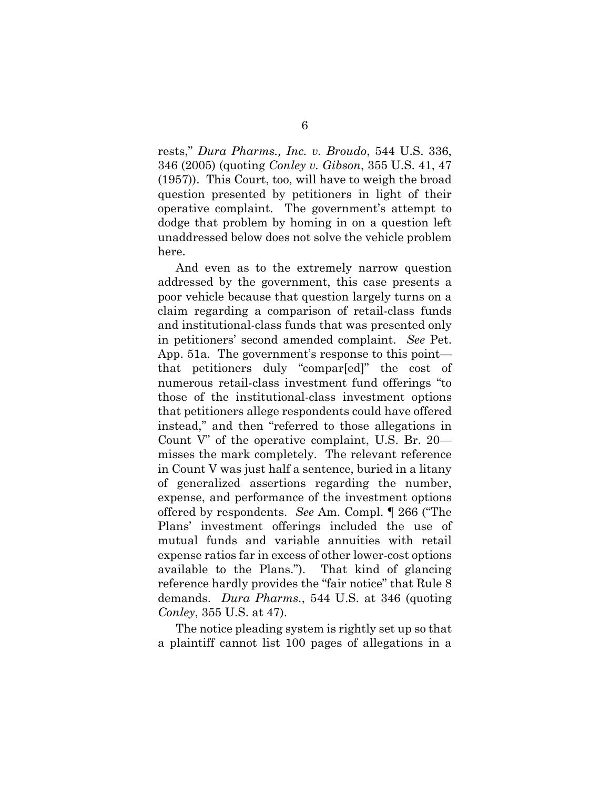<span id="page-9-1"></span><span id="page-9-0"></span>rests," *Dura Pharms., Inc. v. Broudo*, 544 U.S. 336, 346 (2005) (quoting *Conley v. Gibson*, 355 U.S. 41, 47 (1957)). This Court, too, will have to weigh the broad question presented by petitioners in light of their operative complaint. The government's attempt to dodge that problem by homing in on a question left unaddressed below does not solve the vehicle problem here.

And even as to the extremely narrow question addressed by the government, this case presents a poor vehicle because that question largely turns on a claim regarding a comparison of retail-class funds and institutional-class funds that was presented only in petitioners' second amended complaint. *See* Pet. App. 51a. The government's response to this point that petitioners duly "compar[ed]" the cost of numerous retail-class investment fund offerings "to those of the institutional-class investment options that petitioners allege respondents could have offered instead," and then "referred to those allegations in Count V" of the operative complaint, U.S. Br. 20 misses the mark completely. The relevant reference in Count V was just half a sentence, buried in a litany of generalized assertions regarding the number, expense, and performance of the investment options offered by respondents. *See* Am. Compl. ¶ 266 ("The Plans' investment offerings included the use of mutual funds and variable annuities with retail expense ratios far in excess of other lower-cost options available to the Plans."). That kind of glancing reference hardly provides the "fair notice" that Rule 8 demands. *Dura Pharms.*, 544 U.S. at 346 (quoting *Conley*, 355 U.S. at 47).

The notice pleading system is rightly set up so that a plaintiff cannot list 100 pages of allegations in a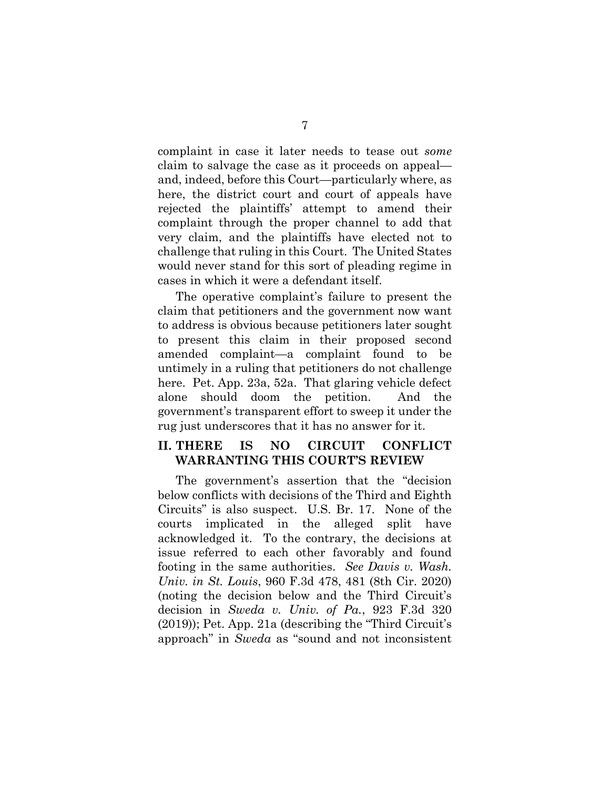complaint in case it later needs to tease out *some* claim to salvage the case as it proceeds on appeal and, indeed, before this Court—particularly where, as here, the district court and court of appeals have rejected the plaintiffs' attempt to amend their complaint through the proper channel to add that very claim, and the plaintiffs have elected not to challenge that ruling in this Court. The United States would never stand for this sort of pleading regime in cases in which it were a defendant itself.

The operative complaint's failure to present the claim that petitioners and the government now want to address is obvious because petitioners later sought to present this claim in their proposed second amended complaint—a complaint found to be untimely in a ruling that petitioners do not challenge here. Pet. App. 23a, 52a. That glaring vehicle defect alone should doom the petition. And the government's transparent effort to sweep it under the rug just underscores that it has no answer for it.

### **II. THERE IS NO CIRCUIT CONFLICT WARRANTING THIS COURT'S REVIEW**

<span id="page-10-1"></span><span id="page-10-0"></span>The government's assertion that the "decision below conflicts with decisions of the Third and Eighth Circuits" is also suspect. U.S. Br. 17. None of the courts implicated in the alleged split have acknowledged it. To the contrary, the decisions at issue referred to each other favorably and found footing in the same authorities. *See Davis v. Wash. Univ. in St. Louis*, 960 F.3d 478, 481 (8th Cir. 2020) (noting the decision below and the Third Circuit's decision in *Sweda v. Univ. of Pa.*, 923 F.3d 320 (2019)); Pet. App. 21a (describing the "Third Circuit's approach" in *Sweda* as "sound and not inconsistent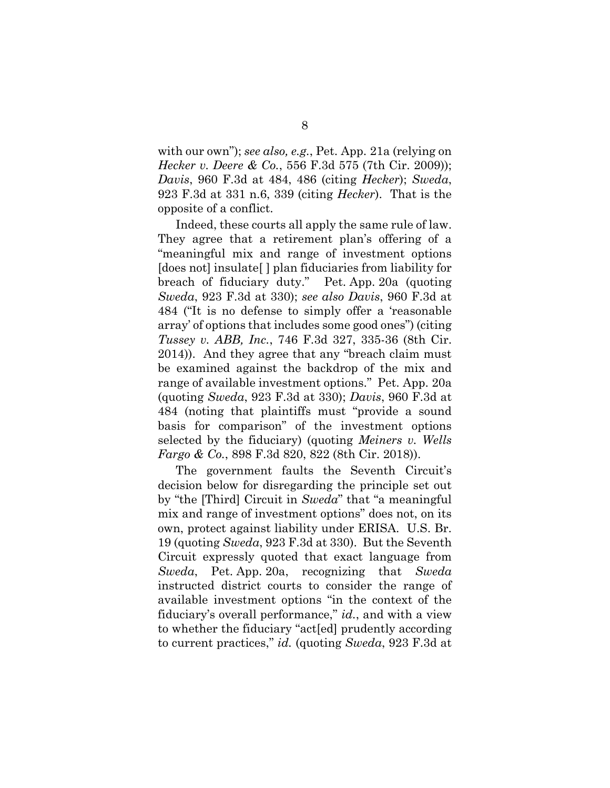<span id="page-11-1"></span><span id="page-11-0"></span>with our own"); *see also, e.g.*, Pet. App. 21a (relying on *Hecker v. Deere & Co.*, 556 F.3d 575 (7th Cir. 2009)); *Davis*, 960 F.3d at 484, 486 (citing *Hecker*); *Sweda*, 923 F.3d at 331 n.6, 339 (citing *Hecker*). That is the opposite of a conflict.

<span id="page-11-4"></span>Indeed, these courts all apply the same rule of law. They agree that a retirement plan's offering of a "meaningful mix and range of investment options [does not] insulate[ ] plan fiduciaries from liability for breach of fiduciary duty." Pet. App. 20a (quoting *Sweda*, 923 F.3d at 330); *see also Davis*, 960 F.3d at 484 ("It is no defense to simply offer a 'reasonable array' of options that includes some good ones") (citing *Tussey v. ABB, Inc.*, 746 F.3d 327, 335-36 (8th Cir. 2014)). And they agree that any "breach claim must be examined against the backdrop of the mix and range of available investment options." Pet. App. 20a (quoting *Sweda*, 923 F.3d at 330); *Davis*, 960 F.3d at 484 (noting that plaintiffs must "provide a sound basis for comparison" of the investment options selected by the fiduciary) (quoting *Meiners v. Wells Fargo & Co.*, 898 F.3d 820, 822 (8th Cir. 2018)).

<span id="page-11-3"></span><span id="page-11-2"></span>The government faults the Seventh Circuit's decision below for disregarding the principle set out by "the [Third] Circuit in *Sweda*" that "a meaningful mix and range of investment options" does not, on its own, protect against liability under ERISA. U.S. Br. 19 (quoting *Sweda*, 923 F.3d at 330). But the Seventh Circuit expressly quoted that exact language from *Sweda*, Pet. App. 20a, recognizing that *Sweda* instructed district courts to consider the range of available investment options "in the context of the fiduciary's overall performance," *id.*, and with a view to whether the fiduciary "act[ed] prudently according to current practices," *id.* (quoting *Sweda*, 923 F.3d at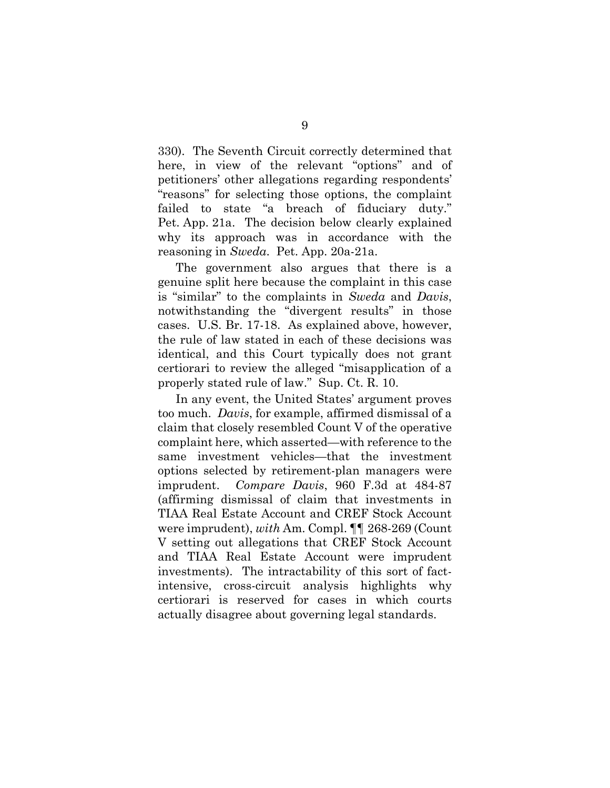330). The Seventh Circuit correctly determined that here, in view of the relevant "options" and of petitioners' other allegations regarding respondents' "reasons" for selecting those options, the complaint failed to state "a breach of fiduciary duty." Pet. App. 21a. The decision below clearly explained why its approach was in accordance with the reasoning in *Sweda*. Pet. App. 20a-21a.

The government also argues that there is a genuine split here because the complaint in this case is "similar" to the complaints in *Sweda* and *Davis*, notwithstanding the "divergent results" in those cases. U.S. Br. 17-18. As explained above, however, the rule of law stated in each of these decisions was identical, and this Court typically does not grant certiorari to review the alleged "misapplication of a properly stated rule of law." Sup. Ct. R. 10.

<span id="page-12-1"></span><span id="page-12-0"></span>In any event, the United States' argument proves too much. *Davis*, for example, affirmed dismissal of a claim that closely resembled Count V of the operative complaint here, which asserted—with reference to the same investment vehicles—that the investment options selected by retirement-plan managers were imprudent. *Compare Davis*, 960 F.3d at 484-87 (affirming dismissal of claim that investments in TIAA Real Estate Account and CREF Stock Account were imprudent), *with* Am. Compl. ¶¶ 268-269 (Count V setting out allegations that CREF Stock Account and TIAA Real Estate Account were imprudent investments). The intractability of this sort of factintensive, cross-circuit analysis highlights why certiorari is reserved for cases in which courts actually disagree about governing legal standards.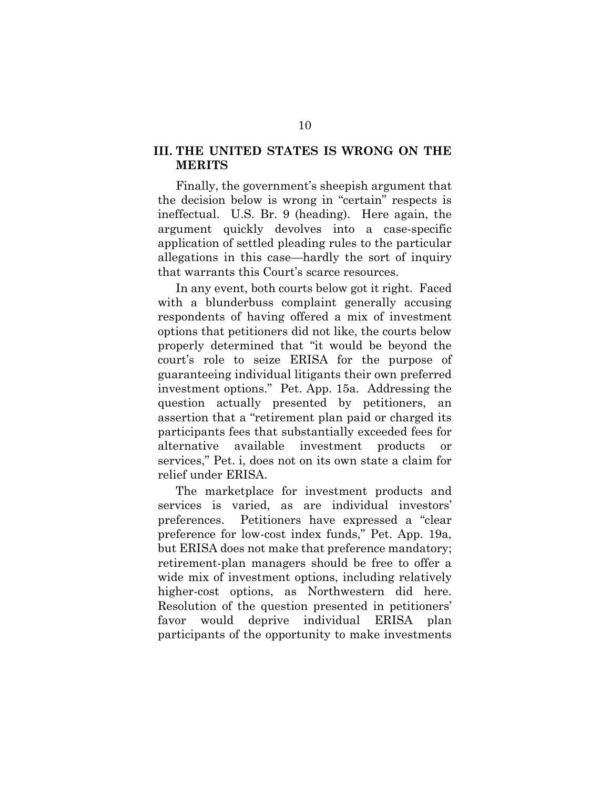## **III. THE UNITED STATES IS WRONG ON THE MERITS**

Finally, the government's sheepish argument that the decision below is wrong in "certain" respects is ineffectual. U.S. Br. 9 (heading). Here again, the argument quickly devolves into a case-specific application of settled pleading rules to the particular allegations in this case—hardly the sort of inquiry that warrants this Court's scarce resources.

In any event, both courts below got it right. Faced with a blunderbuss complaint generally accusing respondents of having offered a mix of investment options that petitioners did not like, the courts below properly determined that "it would be beyond the court's role to seize ERISA for the purpose of guaranteeing individual litigants their own preferred investment options." Pet. App. 15a. Addressing the question actually presented by petitioners, an assertion that a "retirement plan paid or charged its participants fees that substantially exceeded fees for alternative available investment products or services," Pet. i, does not on its own state a claim for relief under ERISA.

The marketplace for investment products and services is varied, as are individual investors' preferences. Petitioners have expressed a "clear preference for low-cost index funds," Pet. App. 19a, but ERISA does not make that preference mandatory; retirement-plan managers should be free to offer a wide mix of investment options, including relatively higher-cost options, as Northwestern did here. Resolution of the question presented in petitioners' favor would deprive individual ERISA plan participants of the opportunity to make investments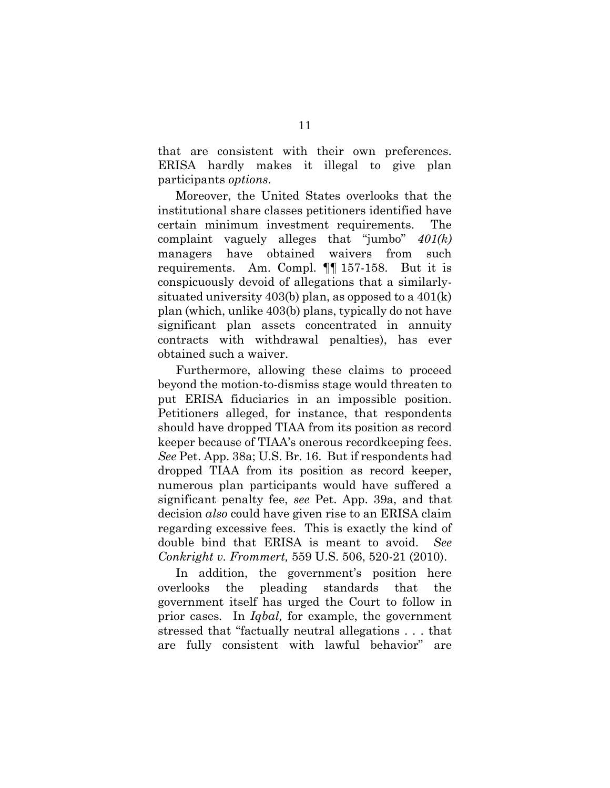that are consistent with their own preferences. ERISA hardly makes it illegal to give plan participants *options*.

Moreover, the United States overlooks that the institutional share classes petitioners identified have certain minimum investment requirements. The complaint vaguely alleges that "jumbo" *401(k)*  managers have obtained waivers from such requirements. Am. Compl. ¶¶ 157-158. But it is conspicuously devoid of allegations that a similarlysituated university 403(b) plan, as opposed to a 401(k) plan (which, unlike 403(b) plans, typically do not have significant plan assets concentrated in annuity contracts with withdrawal penalties), has ever obtained such a waiver.

Furthermore, allowing these claims to proceed beyond the motion-to-dismiss stage would threaten to put ERISA fiduciaries in an impossible position. Petitioners alleged, for instance, that respondents should have dropped TIAA from its position as record keeper because of TIAA's onerous recordkeeping fees. *See* Pet. App. 38a; U.S. Br. 16. But if respondents had dropped TIAA from its position as record keeper, numerous plan participants would have suffered a significant penalty fee, *see* Pet. App. 39a, and that decision *also* could have given rise to an ERISA claim regarding excessive fees. This is exactly the kind of double bind that ERISA is meant to avoid. *See Conkright v. Frommert,* 559 U.S. 506, 520-21 (2010).

<span id="page-14-0"></span>In addition, the government's position here overlooks the pleading standards that the government itself has urged the Court to follow in prior cases*.* In *Iqbal,* for example, the government stressed that "factually neutral allegations . . . that are fully consistent with lawful behavior" are